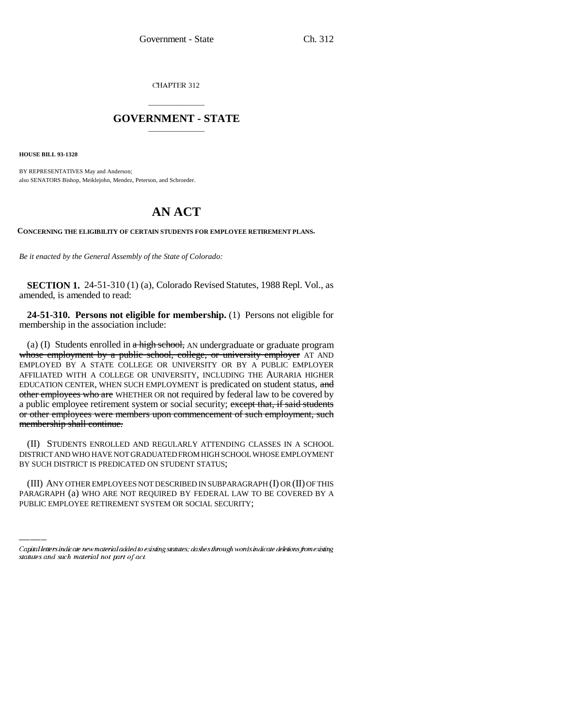CHAPTER 312

## \_\_\_\_\_\_\_\_\_\_\_\_\_\_\_ **GOVERNMENT - STATE** \_\_\_\_\_\_\_\_\_\_\_\_\_\_\_

**HOUSE BILL 93-1328**

BY REPRESENTATIVES May and Anderson; also SENATORS Bishop, Meiklejohn, Mendez, Peterson, and Schroeder.

## **AN ACT**

**CONCERNING THE ELIGIBILITY OF CERTAIN STUDENTS FOR EMPLOYEE RETIREMENT PLANS.**

*Be it enacted by the General Assembly of the State of Colorado:*

**SECTION 1.** 24-51-310 (1) (a), Colorado Revised Statutes, 1988 Repl. Vol., as amended, is amended to read:

**24-51-310. Persons not eligible for membership.** (1) Persons not eligible for membership in the association include:

(a) (I) Students enrolled in  $a$  high school, AN undergraduate or graduate program whose employment by a public school, college, or university employer AT AND EMPLOYED BY A STATE COLLEGE OR UNIVERSITY OR BY A PUBLIC EMPLOYER AFFILIATED WITH A COLLEGE OR UNIVERSITY, INCLUDING THE AURARIA HIGHER EDUCATION CENTER, WHEN SUCH EMPLOYMENT is predicated on student status, and other employees who are WHETHER OR not required by federal law to be covered by a public employee retirement system or social security; except that, if said students or other employees were members upon commencement of such employment, such membership shall continue.

BY SUCH DISTRICT IS PREDICATED ON STUDENT STATUS; (II) STUDENTS ENROLLED AND REGULARLY ATTENDING CLASSES IN A SCHOOL DISTRICT AND WHO HAVE NOT GRADUATED FROM HIGH SCHOOL WHOSE EMPLOYMENT

(III) ANY OTHER EMPLOYEES NOT DESCRIBED IN SUBPARAGRAPH (I) OR (II) OF THIS PARAGRAPH (a) WHO ARE NOT REQUIRED BY FEDERAL LAW TO BE COVERED BY A PUBLIC EMPLOYEE RETIREMENT SYSTEM OR SOCIAL SECURITY;

Capital letters indicate new material added to existing statutes; dashes through words indicate deletions from existing statutes and such material not part of act.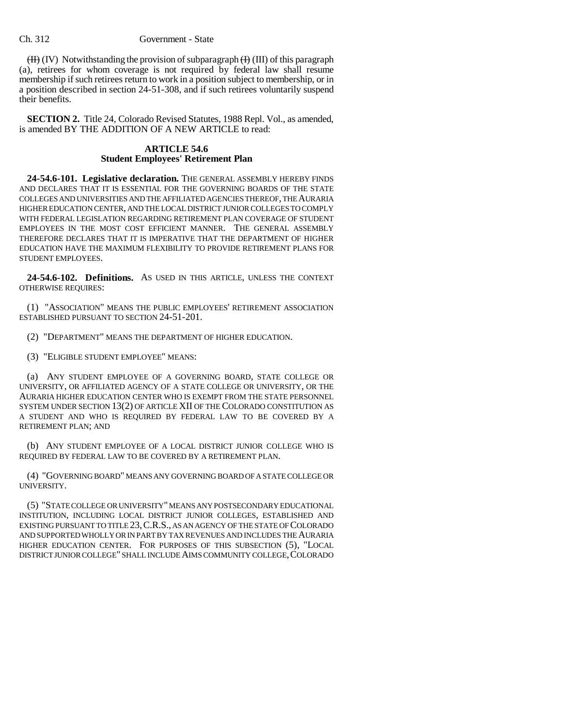## Ch. 312 Government - State

 $(H)$  (IV) Notwithstanding the provision of subparagraph  $(H)$  (III) of this paragraph (a), retirees for whom coverage is not required by federal law shall resume membership if such retirees return to work in a position subject to membership, or in a position described in section 24-51-308, and if such retirees voluntarily suspend their benefits.

**SECTION 2.** Title 24, Colorado Revised Statutes, 1988 Repl. Vol., as amended, is amended BY THE ADDITION OF A NEW ARTICLE to read:

## **ARTICLE 54.6 Student Employees' Retirement Plan**

**24-54.6-101. Legislative declaration.** THE GENERAL ASSEMBLY HEREBY FINDS AND DECLARES THAT IT IS ESSENTIAL FOR THE GOVERNING BOARDS OF THE STATE COLLEGES AND UNIVERSITIES AND THE AFFILIATED AGENCIES THEREOF, THE AURARIA HIGHER EDUCATION CENTER, AND THE LOCAL DISTRICT JUNIOR COLLEGES TO COMPLY WITH FEDERAL LEGISLATION REGARDING RETIREMENT PLAN COVERAGE OF STUDENT EMPLOYEES IN THE MOST COST EFFICIENT MANNER. THE GENERAL ASSEMBLY THEREFORE DECLARES THAT IT IS IMPERATIVE THAT THE DEPARTMENT OF HIGHER EDUCATION HAVE THE MAXIMUM FLEXIBILITY TO PROVIDE RETIREMENT PLANS FOR STUDENT EMPLOYEES.

**24-54.6-102. Definitions.** AS USED IN THIS ARTICLE, UNLESS THE CONTEXT OTHERWISE REQUIRES:

(1) "ASSOCIATION" MEANS THE PUBLIC EMPLOYEES' RETIREMENT ASSOCIATION ESTABLISHED PURSUANT TO SECTION 24-51-201.

(2) "DEPARTMENT" MEANS THE DEPARTMENT OF HIGHER EDUCATION.

(3) "ELIGIBLE STUDENT EMPLOYEE" MEANS:

(a) ANY STUDENT EMPLOYEE OF A GOVERNING BOARD, STATE COLLEGE OR UNIVERSITY, OR AFFILIATED AGENCY OF A STATE COLLEGE OR UNIVERSITY, OR THE AURARIA HIGHER EDUCATION CENTER WHO IS EXEMPT FROM THE STATE PERSONNEL SYSTEM UNDER SECTION 13(2) OF ARTICLE XII OF THE COLORADO CONSTITUTION AS A STUDENT AND WHO IS REQUIRED BY FEDERAL LAW TO BE COVERED BY A RETIREMENT PLAN; AND

(b) ANY STUDENT EMPLOYEE OF A LOCAL DISTRICT JUNIOR COLLEGE WHO IS REQUIRED BY FEDERAL LAW TO BE COVERED BY A RETIREMENT PLAN.

(4) "GOVERNING BOARD" MEANS ANY GOVERNING BOARD OF A STATE COLLEGE OR UNIVERSITY.

(5) "STATE COLLEGE OR UNIVERSITY" MEANS ANY POSTSECONDARY EDUCATIONAL INSTITUTION, INCLUDING LOCAL DISTRICT JUNIOR COLLEGES, ESTABLISHED AND EXISTING PURSUANT TO TITLE 23,C.R.S., AS AN AGENCY OF THE STATE OF COLORADO AND SUPPORTED WHOLLY OR IN PART BY TAX REVENUES AND INCLUDES THE AURARIA HIGHER EDUCATION CENTER. FOR PURPOSES OF THIS SUBSECTION (5), "LOCAL DISTRICT JUNIOR COLLEGE" SHALL INCLUDE AIMS COMMUNITY COLLEGE,COLORADO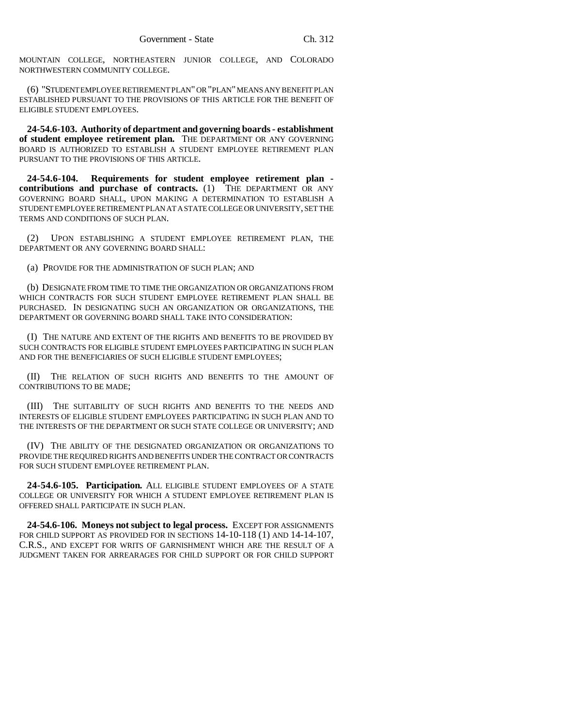MOUNTAIN COLLEGE, NORTHEASTERN JUNIOR COLLEGE, AND COLORADO NORTHWESTERN COMMUNITY COLLEGE.

(6) "STUDENT EMPLOYEE RETIREMENT PLAN" OR "PLAN" MEANS ANY BENEFIT PLAN ESTABLISHED PURSUANT TO THE PROVISIONS OF THIS ARTICLE FOR THE BENEFIT OF ELIGIBLE STUDENT EMPLOYEES.

**24-54.6-103. Authority of department and governing boards - establishment of student employee retirement plan.** THE DEPARTMENT OR ANY GOVERNING BOARD IS AUTHORIZED TO ESTABLISH A STUDENT EMPLOYEE RETIREMENT PLAN PURSUANT TO THE PROVISIONS OF THIS ARTICLE.

**24-54.6-104. Requirements for student employee retirement plan contributions and purchase of contracts.** (1) THE DEPARTMENT OR ANY GOVERNING BOARD SHALL, UPON MAKING A DETERMINATION TO ESTABLISH A STUDENT EMPLOYEE RETIREMENT PLAN AT A STATE COLLEGE OR UNIVERSITY, SET THE TERMS AND CONDITIONS OF SUCH PLAN.

(2) UPON ESTABLISHING A STUDENT EMPLOYEE RETIREMENT PLAN, THE DEPARTMENT OR ANY GOVERNING BOARD SHALL:

(a) PROVIDE FOR THE ADMINISTRATION OF SUCH PLAN; AND

(b) DESIGNATE FROM TIME TO TIME THE ORGANIZATION OR ORGANIZATIONS FROM WHICH CONTRACTS FOR SUCH STUDENT EMPLOYEE RETIREMENT PLAN SHALL BE PURCHASED. IN DESIGNATING SUCH AN ORGANIZATION OR ORGANIZATIONS, THE DEPARTMENT OR GOVERNING BOARD SHALL TAKE INTO CONSIDERATION:

(I) THE NATURE AND EXTENT OF THE RIGHTS AND BENEFITS TO BE PROVIDED BY SUCH CONTRACTS FOR ELIGIBLE STUDENT EMPLOYEES PARTICIPATING IN SUCH PLAN AND FOR THE BENEFICIARIES OF SUCH ELIGIBLE STUDENT EMPLOYEES;

(II) THE RELATION OF SUCH RIGHTS AND BENEFITS TO THE AMOUNT OF CONTRIBUTIONS TO BE MADE;

(III) THE SUITABILITY OF SUCH RIGHTS AND BENEFITS TO THE NEEDS AND INTERESTS OF ELIGIBLE STUDENT EMPLOYEES PARTICIPATING IN SUCH PLAN AND TO THE INTERESTS OF THE DEPARTMENT OR SUCH STATE COLLEGE OR UNIVERSITY; AND

(IV) THE ABILITY OF THE DESIGNATED ORGANIZATION OR ORGANIZATIONS TO PROVIDE THE REQUIRED RIGHTS AND BENEFITS UNDER THE CONTRACT OR CONTRACTS FOR SUCH STUDENT EMPLOYEE RETIREMENT PLAN.

**24-54.6-105. Participation.** ALL ELIGIBLE STUDENT EMPLOYEES OF A STATE COLLEGE OR UNIVERSITY FOR WHICH A STUDENT EMPLOYEE RETIREMENT PLAN IS OFFERED SHALL PARTICIPATE IN SUCH PLAN.

**24-54.6-106. Moneys not subject to legal process.** EXCEPT FOR ASSIGNMENTS FOR CHILD SUPPORT AS PROVIDED FOR IN SECTIONS  $14-10-118$  (1) AND  $14-14-107$ , C.R.S., AND EXCEPT FOR WRITS OF GARNISHMENT WHICH ARE THE RESULT OF A JUDGMENT TAKEN FOR ARREARAGES FOR CHILD SUPPORT OR FOR CHILD SUPPORT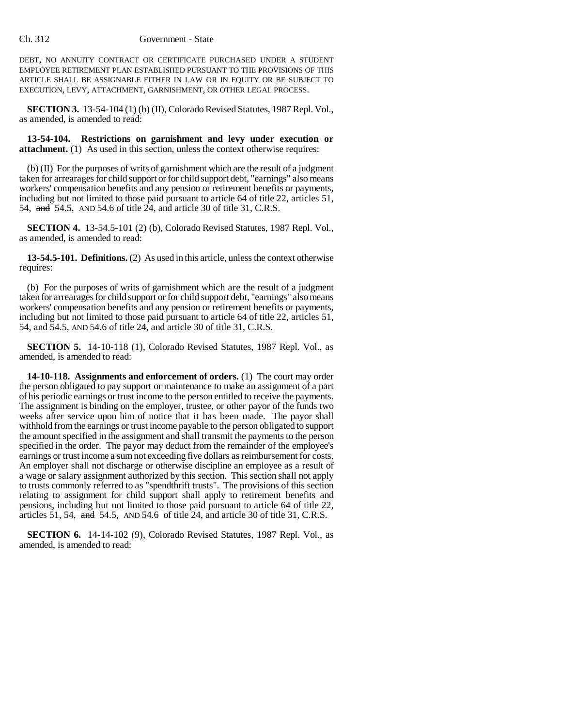DEBT, NO ANNUITY CONTRACT OR CERTIFICATE PURCHASED UNDER A STUDENT EMPLOYEE RETIREMENT PLAN ESTABLISHED PURSUANT TO THE PROVISIONS OF THIS ARTICLE SHALL BE ASSIGNABLE EITHER IN LAW OR IN EQUITY OR BE SUBJECT TO EXECUTION, LEVY, ATTACHMENT, GARNISHMENT, OR OTHER LEGAL PROCESS.

**SECTION 3.** 13-54-104 (1) (b) (II), Colorado Revised Statutes, 1987 Repl. Vol., as amended, is amended to read:

**13-54-104. Restrictions on garnishment and levy under execution or attachment.** (1) As used in this section, unless the context otherwise requires:

(b) (II) For the purposes of writs of garnishment which are the result of a judgment taken for arrearages for child support or for child support debt, "earnings" also means workers' compensation benefits and any pension or retirement benefits or payments, including but not limited to those paid pursuant to article 64 of title 22, articles 51, 54, and 54.5, AND 54.6 of title 24, and article 30 of title 31, C.R.S.

**SECTION 4.** 13-54.5-101 (2) (b), Colorado Revised Statutes, 1987 Repl. Vol., as amended, is amended to read:

**13-54.5-101. Definitions.** (2) As used in this article, unless the context otherwise requires:

(b) For the purposes of writs of garnishment which are the result of a judgment taken for arrearages for child support or for child support debt, "earnings" also means workers' compensation benefits and any pension or retirement benefits or payments, including but not limited to those paid pursuant to article 64 of title 22, articles 51, 54, and 54.5, AND 54.6 of title 24, and article 30 of title 31, C.R.S.

**SECTION 5.** 14-10-118 (1), Colorado Revised Statutes, 1987 Repl. Vol., as amended, is amended to read:

**14-10-118. Assignments and enforcement of orders.** (1) The court may order the person obligated to pay support or maintenance to make an assignment of a part of his periodic earnings or trust income to the person entitled to receive the payments. The assignment is binding on the employer, trustee, or other payor of the funds two weeks after service upon him of notice that it has been made. The payor shall withhold from the earnings or trust income payable to the person obligated to support the amount specified in the assignment and shall transmit the payments to the person specified in the order. The payor may deduct from the remainder of the employee's earnings or trust income a sum not exceeding five dollars as reimbursement for costs. An employer shall not discharge or otherwise discipline an employee as a result of a wage or salary assignment authorized by this section. This section shall not apply to trusts commonly referred to as "spendthrift trusts". The provisions of this section relating to assignment for child support shall apply to retirement benefits and pensions, including but not limited to those paid pursuant to article 64 of title 22, articles 51, 54,  $\alpha$  54.5, AND 54.6 of title 24, and article 30 of title 31, C.R.S.

**SECTION 6.** 14-14-102 (9), Colorado Revised Statutes, 1987 Repl. Vol., as amended, is amended to read: